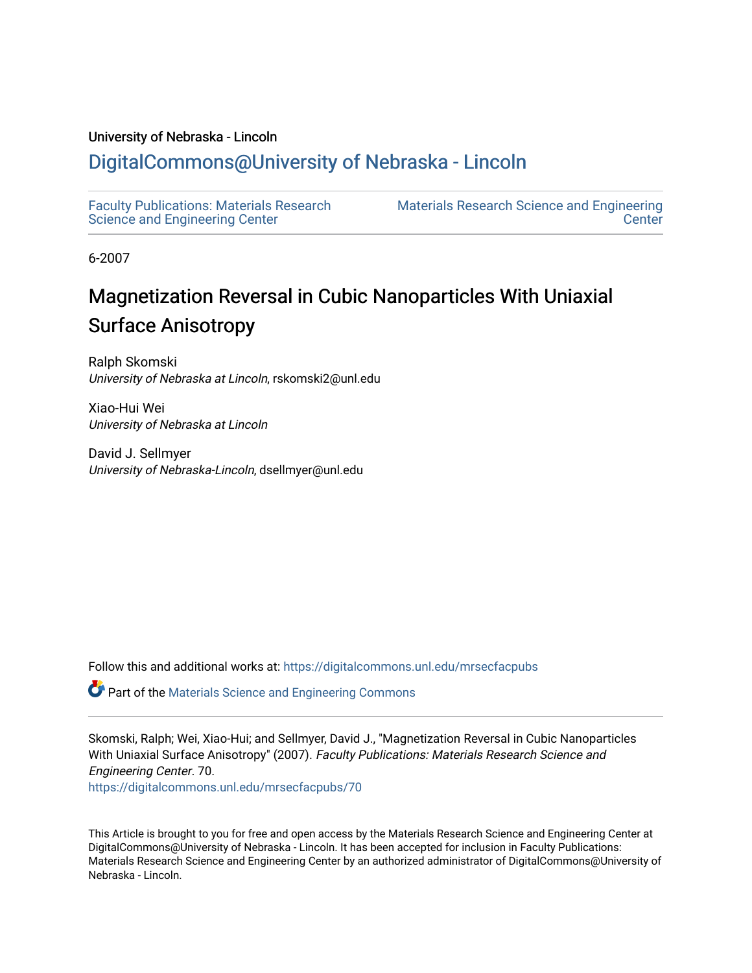## University of Nebraska - Lincoln

# [DigitalCommons@University of Nebraska - Lincoln](https://digitalcommons.unl.edu/)

[Faculty Publications: Materials Research](https://digitalcommons.unl.edu/mrsecfacpubs)  [Science and Engineering Center](https://digitalcommons.unl.edu/mrsecfacpubs) 

[Materials Research Science and Engineering](https://digitalcommons.unl.edu/materialsresearchscieeng)  **Center** 

6-2007

# Magnetization Reversal in Cubic Nanoparticles With Uniaxial Surface Anisotropy

Ralph Skomski University of Nebraska at Lincoln, rskomski2@unl.edu

Xiao-Hui Wei University of Nebraska at Lincoln

David J. Sellmyer University of Nebraska-Lincoln, dsellmyer@unl.edu

Follow this and additional works at: [https://digitalcommons.unl.edu/mrsecfacpubs](https://digitalcommons.unl.edu/mrsecfacpubs?utm_source=digitalcommons.unl.edu%2Fmrsecfacpubs%2F70&utm_medium=PDF&utm_campaign=PDFCoverPages) 

Part of the [Materials Science and Engineering Commons](http://network.bepress.com/hgg/discipline/285?utm_source=digitalcommons.unl.edu%2Fmrsecfacpubs%2F70&utm_medium=PDF&utm_campaign=PDFCoverPages) 

Skomski, Ralph; Wei, Xiao-Hui; and Sellmyer, David J., "Magnetization Reversal in Cubic Nanoparticles With Uniaxial Surface Anisotropy" (2007). Faculty Publications: Materials Research Science and Engineering Center. 70. [https://digitalcommons.unl.edu/mrsecfacpubs/70](https://digitalcommons.unl.edu/mrsecfacpubs/70?utm_source=digitalcommons.unl.edu%2Fmrsecfacpubs%2F70&utm_medium=PDF&utm_campaign=PDFCoverPages) 

This Article is brought to you for free and open access by the Materials Research Science and Engineering Center at DigitalCommons@University of Nebraska - Lincoln. It has been accepted for inclusion in Faculty Publications: Materials Research Science and Engineering Center by an authorized administrator of DigitalCommons@University of Nebraska - Lincoln.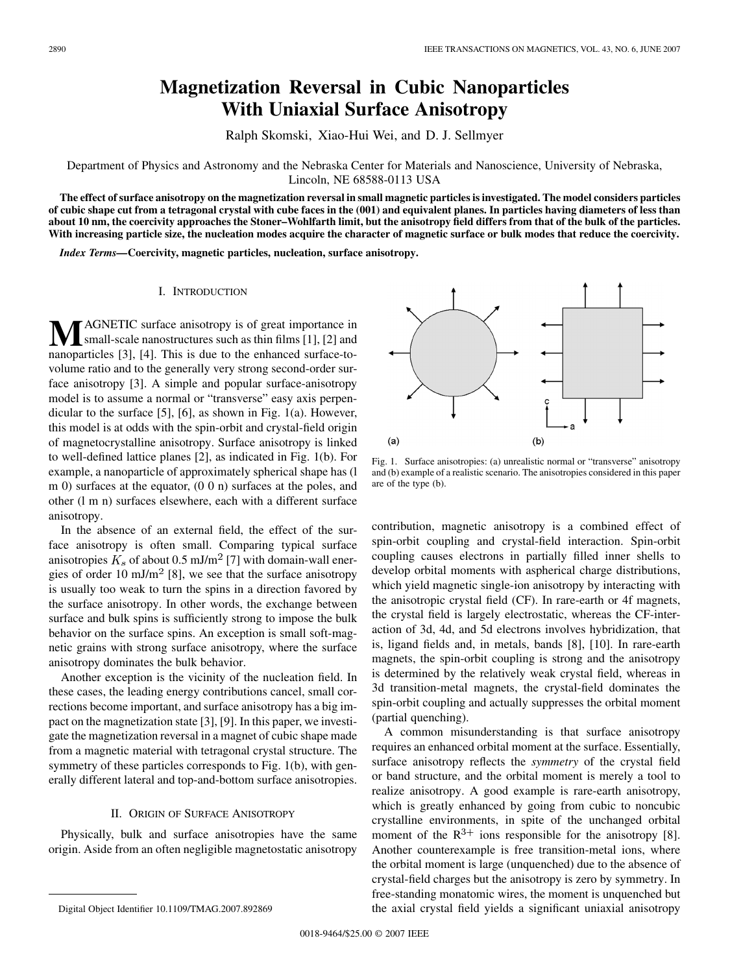# **Magnetization Reversal in Cubic Nanoparticles With Uniaxial Surface Anisotropy**

Ralph Skomski, Xiao-Hui Wei, and D. J. Sellmyer

## Department of Physics and Astronomy and the Nebraska Center for Materials and Nanoscience, University of Nebraska, Lincoln, NE 68588-0113 USA

**The effect of surface anisotropy on the magnetization reversal in small magnetic particles is investigated. The model considers particles of cubic shape cut from a tetragonal crystal with cube faces in the (001) and equivalent planes. In particles having diameters of less than about 10 nm, the coercivity approaches the Stoner–Wohlfarth limit, but the anisotropy field differs from that of the bulk of the particles. With increasing particle size, the nucleation modes acquire the character of magnetic surface or bulk modes that reduce the coercivity.**

*Index Terms—***Coercivity, magnetic particles, nucleation, surface anisotropy.**

## I. INTRODUCTION

**M**AGNETIC surface anisotropy is of great importance in small-scale nanostructures such as thin films [1], [2] and nanoparticles [3], [4]. This is due to the enhanced surface-tovolume ratio and to the generally very strong second-order surface anisotropy [3]. A simple and popular surface-anisotropy model is to assume a normal or "transverse" easy axis perpendicular to the surface [5], [6], as shown in Fig. 1(a). However, this model is at odds with the spin-orbit and crystal-field origin of magnetocrystalline anisotropy. Surface anisotropy is linked to well-defined lattice planes [2], as indicated in Fig. 1(b). For example, a nanoparticle of approximately spherical shape has (l m 0) surfaces at the equator, (0 0 n) surfaces at the poles, and other (l m n) surfaces elsewhere, each with a different surface anisotropy.

In the absence of an external field, the effect of the surface anisotropy is often small. Comparing typical surface anisotropies  $K_s$  of about 0.5 mJ/m<sup>2</sup> [7] with domain-wall energies of order 10 mJ/m<sup>2</sup> [8], we see that the surface anisotropy is usually too weak to turn the spins in a direction favored by the surface anisotropy. In other words, the exchange between surface and bulk spins is sufficiently strong to impose the bulk behavior on the surface spins. An exception is small soft-magnetic grains with strong surface anisotropy, where the surface anisotropy dominates the bulk behavior.

Another exception is the vicinity of the nucleation field. In these cases, the leading energy contributions cancel, small corrections become important, and surface anisotropy has a big impact on the magnetization state [3], [9]. In this paper, we investigate the magnetization reversal in a magnet of cubic shape made from a magnetic material with tetragonal crystal structure. The symmetry of these particles corresponds to Fig. 1(b), with generally different lateral and top-and-bottom surface anisotropies.

#### II. ORIGIN OF SURFACE ANISOTROPY

Physically, bulk and surface anisotropies have the same origin. Aside from an often negligible magnetostatic anisotropy



Fig. 1. Surface anisotropies: (a) unrealistic normal or "transverse" anisotropy and (b) example of a realistic scenario. The anisotropies considered in this paper are of the type (b).

contribution, magnetic anisotropy is a combined effect of spin-orbit coupling and crystal-field interaction. Spin-orbit coupling causes electrons in partially filled inner shells to develop orbital moments with aspherical charge distributions, which yield magnetic single-ion anisotropy by interacting with the anisotropic crystal field (CF). In rare-earth or 4f magnets, the crystal field is largely electrostatic, whereas the CF-interaction of 3d, 4d, and 5d electrons involves hybridization, that is, ligand fields and, in metals, bands [8], [10]. In rare-earth magnets, the spin-orbit coupling is strong and the anisotropy is determined by the relatively weak crystal field, whereas in 3d transition-metal magnets, the crystal-field dominates the spin-orbit coupling and actually suppresses the orbital moment (partial quenching).

A common misunderstanding is that surface anisotropy requires an enhanced orbital moment at the surface. Essentially, surface anisotropy reflects the *symmetry* of the crystal field or band structure, and the orbital moment is merely a tool to realize anisotropy. A good example is rare-earth anisotropy, which is greatly enhanced by going from cubic to noncubic crystalline environments, in spite of the unchanged orbital moment of the  $R^{3+}$  ions responsible for the anisotropy [8]. Another counterexample is free transition-metal ions, where the orbital moment is large (unquenched) due to the absence of crystal-field charges but the anisotropy is zero by symmetry. In free-standing monatomic wires, the moment is unquenched but the axial crystal field yields a significant uniaxial anisotropy

Digital Object Identifier 10.1109/TMAG.2007.892869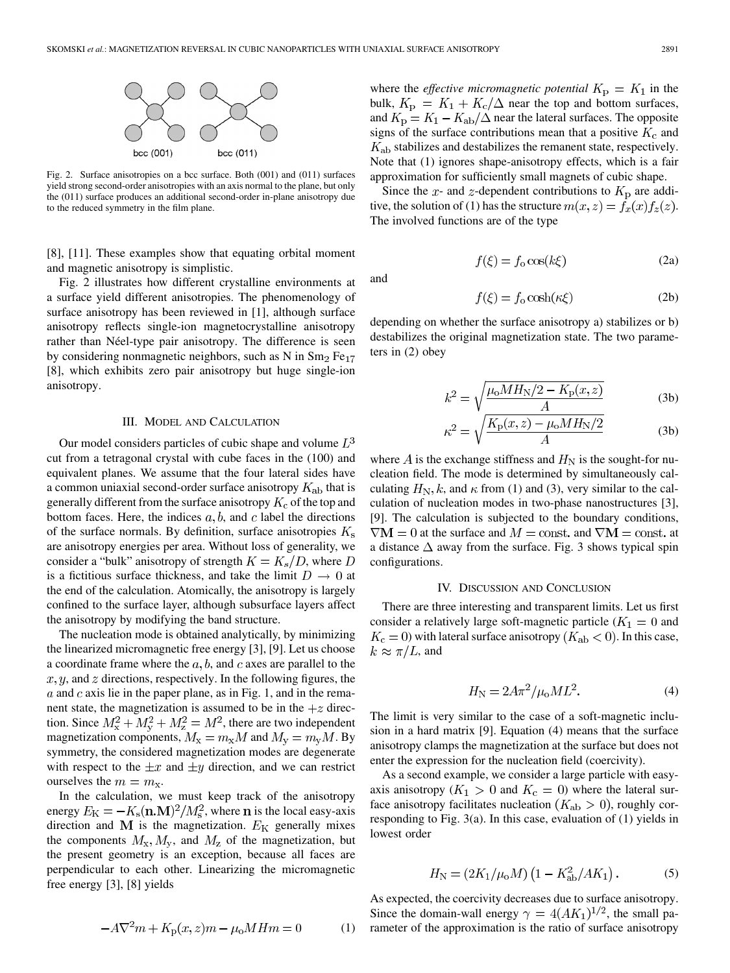

Fig. 2. Surface anisotropies on a bcc surface. Both (001) and (011) surfaces yield strong second-order anisotropies with an axis normal to the plane, but only the (011) surface produces an additional second-order in-plane anisotropy due to the reduced symmetry in the film plane.

[8], [11]. These examples show that equating orbital moment and magnetic anisotropy is simplistic.

Fig. 2 illustrates how different crystalline environments at a surface yield different anisotropies. The phenomenology of surface anisotropy has been reviewed in [1], although surface anisotropy reflects single-ion magnetocrystalline anisotropy rather than Néel-type pair anisotropy. The difference is seen by considering nonmagnetic neighbors, such as N in  $Sm<sub>2</sub> Fe<sub>17</sub>$ [8], which exhibits zero pair anisotropy but huge single-ion anisotropy.

#### III. MODEL AND CALCULATION

Our model considers particles of cubic shape and volume  $L^3$ cut from a tetragonal crystal with cube faces in the (100) and equivalent planes. We assume that the four lateral sides have a common uniaxial second-order surface anisotropy  $K_{ab}$  that is generally different from the surface anisotropy  $K_c$  of the top and bottom faces. Here, the indices  $a, b$ , and c label the directions of the surface normals. By definition, surface anisotropies  $K_s$ are anisotropy energies per area. Without loss of generality, we consider a "bulk" anisotropy of strength  $K = K_s/D$ , where D is a fictitious surface thickness, and take the limit  $D \to 0$  at the end of the calculation. Atomically, the anisotropy is largely confined to the surface layer, although subsurface layers affect the anisotropy by modifying the band structure.

The nucleation mode is obtained analytically, by minimizing the linearized micromagnetic free energy [3], [9]. Let us choose a coordinate frame where the  $a, b$ , and c axes are parallel to the  $x, y$ , and  $z$  directions, respectively. In the following figures, the  $\alpha$  and c axis lie in the paper plane, as in Fig. 1, and in the remanent state, the magnetization is assumed to be in the  $+z$  direction. Since  $M_{\rm x}^2 + M_{\rm y}^2 + M_{\rm z}^2 = M^2$ , there are two independent magnetization components,  $M_x = m_x M$  and  $M_v = m_v M$ . By symmetry, the considered magnetization modes are degenerate with respect to the  $\pm x$  and  $\pm y$  direction, and we can restrict ourselves the  $m = m_{\rm x}$ .

In the calculation, we must keep track of the anisotropy energy  $E_{\rm K} = -K_{\rm s}({\bf n}.{\bf M})^2/M_{\rm s}^2$ , where **n** is the local easy-axis direction and  $M$  is the magnetization.  $E_K$  generally mixes the components  $M_x, M_y$ , and  $M_z$  of the magnetization, but the present geometry is an exception, because all faces are perpendicular to each other. Linearizing the micromagnetic free energy [3], [8] yields

$$
-A\nabla^2 m + K_{\mathbf{p}}(x, z)m - \mu_0 M H m = 0 \tag{1}
$$

where the *effective micromagnetic potential*  $K_p = K_1$  in the bulk,  $K_{\rm p} = K_1 + K_{\rm c}/\Delta$  near the top and bottom surfaces, and  $K_{\rm p} = K_1 - K_{\rm ab}/\Delta$  near the lateral surfaces. The opposite signs of the surface contributions mean that a positive  $K_c$  and  $K_{ab}$  stabilizes and destabilizes the remanent state, respectively. Note that (1) ignores shape-anisotropy effects, which is a fair approximation for sufficiently small magnets of cubic shape.

Since the x- and z-dependent contributions to  $K_{\rm p}$  are additive, the solution of (1) has the structure  $m(x, z) = f_x(x) f_z(z)$ . The involved functions are of the type

and

$$
f(\xi) = f_0 \cos(\kappa \xi) \tag{2a}
$$

 $(1<sup>k</sup>)$ 

$$
f(\xi) = f_o \cosh(\kappa \xi) \tag{2b}
$$

depending on whether the surface anisotropy a) stabilizes or b) destabilizes the original magnetization state. The two parameters in (2) obey

$$
k^{2} = \sqrt{\frac{\mu_{0} M H_{N} / 2 - K_{p}(x, z)}{A}}
$$
 (3b)

$$
\kappa^2 = \sqrt{\frac{K_{\rm p}(x, z) - \mu_{\rm o} M H_{\rm N}/2}{A}}\tag{3b}
$$

where A is the exchange stiffness and  $H_N$  is the sought-for nucleation field. The mode is determined by simultaneously calculating  $H_N$ , k, and  $\kappa$  from (1) and (3), very similar to the calculation of nucleation modes in two-phase nanostructures [3], [9]. The calculation is subjected to the boundary conditions,  $\nabla M = 0$  at the surface and  $M = \text{const.}$  and  $\nabla M = \text{const.}$  at a distance  $\Delta$  away from the surface. Fig. 3 shows typical spin configurations.

#### IV. DISCUSSION AND CONCLUSION

There are three interesting and transparent limits. Let us first consider a relatively large soft-magnetic particle ( $K_1 = 0$  and  $K_c = 0$ ) with lateral surface anisotropy ( $K_{ab} < 0$ ). In this case,  $k \approx \pi/L$ , and

$$
H_N = 2A\pi^2/\mu_0 M L^2. \tag{4}
$$

The limit is very similar to the case of a soft-magnetic inclusion in a hard matrix [9]. Equation (4) means that the surface anisotropy clamps the magnetization at the surface but does not enter the expression for the nucleation field (coercivity).

As a second example, we consider a large particle with easyaxis anisotropy ( $K_1 > 0$  and  $K_c = 0$ ) where the lateral surface anisotropy facilitates nucleation ( $K_{ab} > 0$ ), roughly corresponding to Fig. 3(a). In this case, evaluation of (1) yields in lowest order

$$
H_{\rm N} = (2K_1/\mu_{\rm o}M)(1 - K_{\rm ab}^2/AK_1). \tag{5}
$$

As expected, the coercivity decreases due to surface anisotropy. Since the domain-wall energy  $\gamma = 4(AK_1)^{1/2}$ , the small parameter of the approximation is the ratio of surface anisotropy

 $(2)$